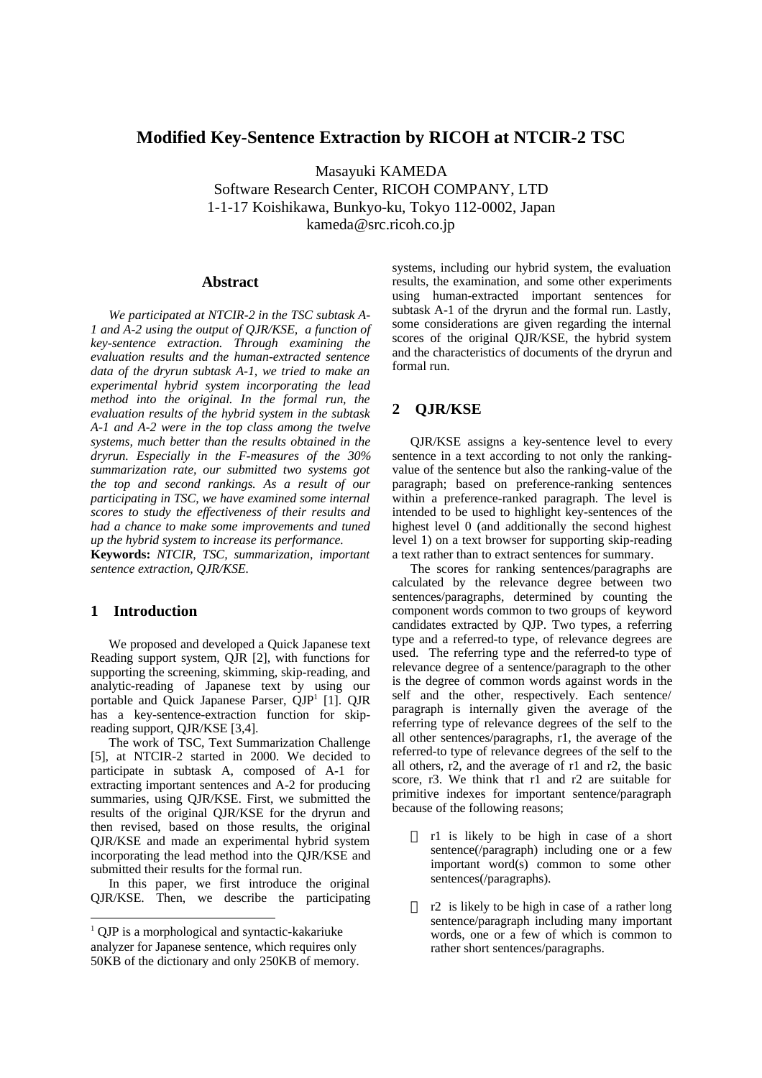# **Modified Key-Sentence Extraction by RICOH at NTCIR-2 TSC**

Masayuki KAMEDA Software Research Center, RICOH COMPANY, LTD 1-1-17 Koishikawa, Bunkyo-ku, Tokyo 112-0002, Japan kameda@src.ricoh.co.jp

### **Abstract**

*We participated at NTCIR-2 in the TSC subtask A-1 and A-2 using the output of QJR/KSE, a function of key-sentence extraction. Through examining the evaluation results and the human-extracted sentence data of the dryrun subtask A-1, we tried to make an experimental hybrid system incorporating the lead method into the original. In the formal run, the evaluation results of the hybrid system in the subtask A-1 and A-2 were in the top class among the twelve systems, much better than the results obtained in the dryrun. Especially in the F-measures of the 30% summarization rate, our submitted two systems got the top and second rankings. As a result of our participating in TSC, we have examined some internal scores to study the effectiveness of their results and had a chance to make some improvements and tuned up the hybrid system to increase its performance.*

**Keywords:** *NTCIR, TSC, summarization, important sentence extraction, QJR/KSE.*

## **1 Introduction**

 $\ddot{\phantom{a}}$ 

We proposed and developed a Quick Japanese text Reading support system, QJR [2], with functions for supporting the screening, skimming, skip-reading, and analytic-reading of Japanese text by using our portable and Quick Japanese Parser, QJP<sup>1</sup> [1]. QJR has a key-sentence-extraction function for skipreading support, QJR/KSE [3,4].

The work of TSC, Text Summarization Challenge [5], at NTCIR-2 started in 2000. We decided to participate in subtask A, composed of A-1 for extracting important sentences and A-2 for producing summaries, using QJR/KSE. First, we submitted the results of the original QJR/KSE for the dryrun and then revised, based on those results, the original QJR/KSE and made an experimental hybrid system incorporating the lead method into the QJR/KSE and submitted their results for the formal run.

In this paper, we first introduce the original QJR/KSE. Then, we describe the participating systems, including our hybrid system, the evaluation results, the examination, and some other experiments using human-extracted important sentences for subtask A-1 of the dryrun and the formal run. Lastly, some considerations are given regarding the internal scores of the original QJR/KSE, the hybrid system and the characteristics of documents of the dryrun and formal run.

### **2 QJR/KSE**

QJR/KSE assigns a key-sentence level to every sentence in a text according to not only the rankingvalue of the sentence but also the ranking-value of the paragraph; based on preference-ranking sentences within a preference-ranked paragraph. The level is intended to be used to highlight key-sentences of the highest level 0 (and additionally the second highest level 1) on a text browser for supporting skip-reading a text rather than to extract sentences for summary.

The scores for ranking sentences/paragraphs are calculated by the relevance degree between two sentences/paragraphs, determined by counting the component words common to two groups of keyword candidates extracted by QJP. Two types, a referring type and a referred-to type, of relevance degrees are used. The referring type and the referred-to type of relevance degree of a sentence/paragraph to the other is the degree of common words against words in the self and the other, respectively. Each sentence/ paragraph is internally given the average of the referring type of relevance degrees of the self to the all other sentences/paragraphs, r1, the average of the referred-to type of relevance degrees of the self to the all others, r2, and the average of r1 and r2, the basic score, r3. We think that r1 and r2 are suitable for primitive indexes for important sentence/paragraph because of the following reasons;

> r1 is likely to be high in case of a short sentence(/paragraph) including one or a few important word(s) common to some other sentences(/paragraphs).

> r2 is likely to be high in case of a rather long sentence/paragraph including many important words, one or a few of which is common to rather short sentences/paragraphs.

<sup>&</sup>lt;sup>1</sup> QJP is a morphological and syntactic-kakariuke analyzer for Japanese sentence, which requires only 50KB of the dictionary and only 250KB of memory.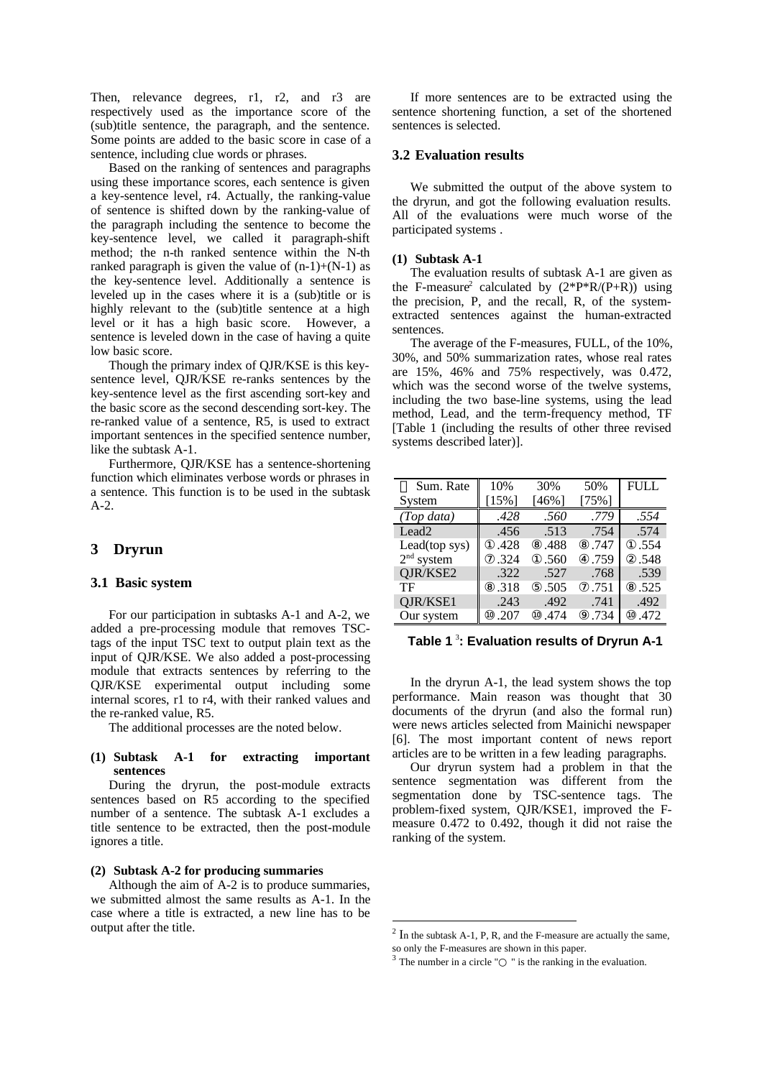Then, relevance degrees, r1, r2, and r3 are respectively used as the importance score of the (sub)title sentence, the paragraph, and the sentence. Some points are added to the basic score in case of a sentence, including clue words or phrases.

Based on the ranking of sentences and paragraphs using these importance scores, each sentence is given a key-sentence level, r4. Actually, the ranking-value of sentence is shifted down by the ranking-value of the paragraph including the sentence to become the key-sentence level, we called it paragraph-shift method; the n-th ranked sentence within the N-th ranked paragraph is given the value of  $(n-1)+(N-1)$  as the key-sentence level. Additionally a sentence is leveled up in the cases where it is a (sub)title or is highly relevant to the (sub)title sentence at a high level or it has a high basic score. However, a sentence is leveled down in the case of having a quite low basic score.

Though the primary index of QJR/KSE is this keysentence level, QJR/KSE re-ranks sentences by the key-sentence level as the first ascending sort-key and the basic score as the second descending sort-key. The re-ranked value of a sentence, R5, is used to extract important sentences in the specified sentence number, like the subtask A-1.

Furthermore, QJR/KSE has a sentence-shortening function which eliminates verbose words or phrases in a sentence. This function is to be used in the subtask A-2.

## **3 Dryrun**

### **3.1 Basic system**

For our participation in subtasks A-1 and A-2, we added a pre-processing module that removes TSCtags of the input TSC text to output plain text as the input of QJR/KSE. We also added a post-processing module that extracts sentences by referring to the QJR/KSE experimental output including some internal scores, r1 to r4, with their ranked values and the re-ranked value, R5.

The additional processes are the noted below.

### **(1) Subtask A-1 for extracting important sentences**

During the dryrun, the post-module extracts sentences based on R5 according to the specified number of a sentence. The subtask A-1 excludes a title sentence to be extracted, then the post-module ignores a title.

#### **(2) Subtask A-2 for producing summaries**

Although the aim of A-2 is to produce summaries, we submitted almost the same results as A-1. In the case where a title is extracted, a new line has to be output after the title.

If more sentences are to be extracted using the sentence shortening function, a set of the shortened sentences is selected.

## **3.2 Evaluation results**

We submitted the output of the above system to the dryrun, and got the following evaluation results. All of the evaluations were much worse of the participated systems .

#### **(1) Subtask A-1**

The evaluation results of subtask A-1 are given as the F-measure<sup>2</sup> calculated by  $(2^*P^*R/(P+R))$  using the precision, P, and the recall, R, of the systemextracted sentences against the human-extracted sentences.

The average of the F-measures, FULL, of the 10%, 30%, and 50% summarization rates, whose real rates are 15%, 46% and 75% respectively, was 0.472, which was the second worse of the twelve systems, including the two base-line systems, using the lead method, Lead, and the term-frequency method, TF [Table 1 (including the results of other three revised systems described later)].

| Sum. Rate         | 10%      | 30%   | 50%  | <b>FULL</b> |
|-------------------|----------|-------|------|-------------|
| System            | $[15\%]$ | [46%] | 75%1 |             |
| (Top data)        | .428     | .560  | .779 | .554        |
| Lead <sub>2</sub> | .456     | .513  | .754 | .574        |
| Lead(top sys)     | .428     | .488  | .747 | .554        |
| $2nd$ system      | .324     | .560  | .759 | .548        |
| QJR/KSE2          | .322     | .527  | .768 | .539        |
| TF                | .318     | .505  | .751 | .525        |
| QJR/KSE1          | .243     | .492  | .741 | .492        |
| Our system        | .207     | .474  | .734 | .472        |

**Table 1** <sup>3</sup> **: Evaluation results of Dryrun A-1**

In the dryrun A-1, the lead system shows the top performance. Main reason was thought that 30 documents of the dryrun (and also the formal run) were news articles selected from Mainichi newspaper [6]. The most important content of news report articles are to be written in a few leading paragraphs.

Our dryrun system had a problem in that the sentence segmentation was different from the segmentation done by TSC-sentence tags. The problem-fixed system, QJR/KSE1, improved the Fmeasure 0.472 to 0.492, though it did not raise the ranking of the system.

 $\overline{a}$ 

 $2 \text{ In the subtask A-1, P, R, and the F-measure are actually the same,}$ so only the F-measures are shown in this paper.

 $3$  The number in a circle "  $\blacksquare$ " is the ranking in the evaluation.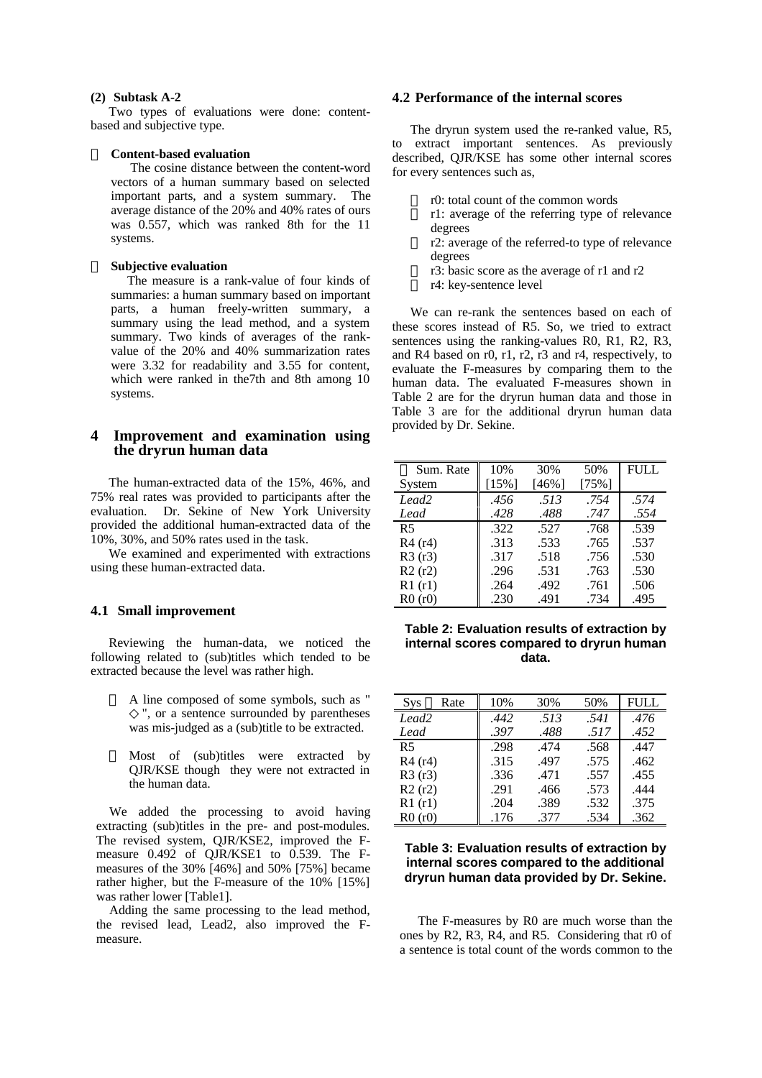#### **(2) Subtask A-2**

Two types of evaluations were done: contentbased and subjective type.

#### **Content-based evaluation**

 The cosine distance between the content-word vectors of a human summary based on selected important parts, and a system summary. The average distance of the 20% and 40% rates of ours was 0.557, which was ranked 8th for the 11 systems.

### **Subjective evaluation**

 The measure is a rank-value of four kinds of summaries: a human summary based on important parts, a human freely-written summary, a summary using the lead method, and a system summary. Two kinds of averages of the rankvalue of the 20% and 40% summarization rates were 3.32 for readability and 3.55 for content, which were ranked in the7th and 8th among 10 systems.

## **4 Improvement and examination using the dryrun human data**

The human-extracted data of the 15%, 46%, and 75% real rates was provided to participants after the evaluation. Dr. Sekine of New York University provided the additional human-extracted data of the 10%, 30%, and 50% rates used in the task.

We examined and experimented with extractions using these human-extracted data.

### **4.1 Small improvement**

Reviewing the human-data, we noticed the following related to (sub)titles which tended to be extracted because the level was rather high.

> A line composed of some symbols, such as " ", or a sentence surrounded by parentheses was mis-judged as a (sub)title to be extracted.

> Most of (sub)titles were extracted by QJR/KSE though they were not extracted in the human data.

 We added the processing to avoid having extracting (sub)titles in the pre- and post-modules. The revised system, QJR/KSE2, improved the Fmeasure 0.492 of QJR/KSE1 to 0.539. The Fmeasures of the 30% [46%] and 50% [75%] became rather higher, but the F-measure of the 10% [15%] was rather lower [Table1].

 Adding the same processing to the lead method, the revised lead, Lead2, also improved the Fmeasure.

## **4.2 Performance of the internal scores**

The dryrun system used the re-ranked value, R5, to extract important sentences. As previously described, QJR/KSE has some other internal scores for every sentences such as,

r0: total count of the common words

r1: average of the referring type of relevance degrees

r2: average of the referred-to type of relevance degrees

r3: basic score as the average of r1 and r2

r4: key-sentence level

We can re-rank the sentences based on each of these scores instead of R5. So, we tried to extract sentences using the ranking-values R0, R1, R2, R3, and R4 based on r0, r1, r2, r3 and r4, respectively, to evaluate the F-measures by comparing them to the human data. The evaluated F-measures shown in Table 2 are for the dryrun human data and those in Table 3 are for the additional dryrun human data provided by Dr. Sekine.

| Sum. Rate         | 10%      | 30%    | 50%   | <b>FULL</b> |
|-------------------|----------|--------|-------|-------------|
| System            | $[15\%]$ | $46\%$ | [75%] |             |
| Lead <sub>2</sub> | .456     | .513   | .754  | .574        |
| Lead              | .428     | .488   | .747  | .554        |
| R <sub>5</sub>    | .322     | .527   | .768  | .539        |
| R4(r4)            | .313     | .533   | .765  | .537        |
| R3(r3)            | .317     | .518   | .756  | .530        |
| R2(r2)            | .296     | .531   | .763  | .530        |
| R1(r1)            | .264     | .492   | .761  | .506        |
| R0(r0)            | .230     | .491   | .734  | .495        |

### **Table 2: Evaluation results of extraction by internal scores compared to dryrun human data.**

| Rate<br><b>Sys</b> | 10%  | 30%  | 50%  | FULL |
|--------------------|------|------|------|------|
| Lead <sub>2</sub>  | .442 | .513 | .541 | .476 |
| Lead               | .397 | .488 | .517 | .452 |
| R <sub>5</sub>     | .298 | .474 | .568 | .447 |
| R4 (r4)            | .315 | .497 | .575 | .462 |
| R3(r3)             | .336 | .471 | .557 | .455 |
| R2(r2)             | .291 | .466 | .573 | .444 |
| R1(r1)             | .204 | .389 | .532 | .375 |
| R0(r0)             | .176 | .377 | .534 | .362 |

### **Table 3: Evaluation results of extraction by internal scores compared to the additional dryrun human data provided by Dr. Sekine.**

The F-measures by R0 are much worse than the ones by R2, R3, R4, and R5. Considering that r0 of a sentence is total count of the words common to the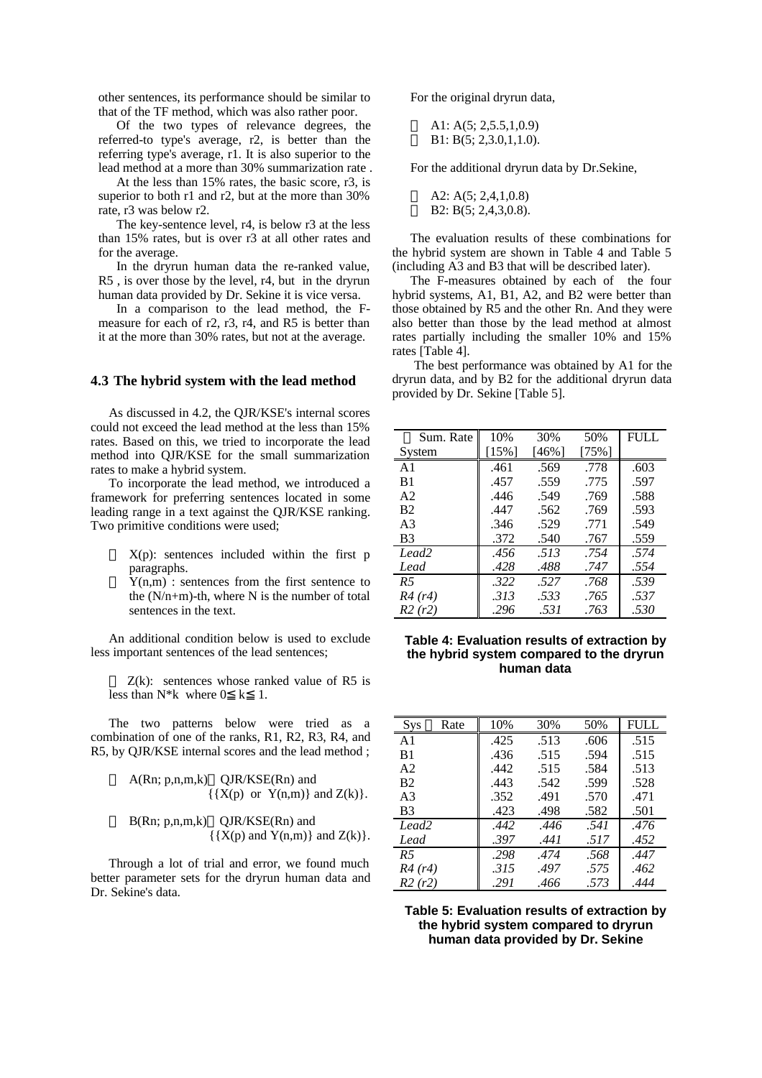other sentences, its performance should be similar to that of the TF method, which was also rather poor.

Of the two types of relevance degrees, the referred-to type's average, r2, is better than the referring type's average, r1. It is also superior to the lead method at a more than 30% summarization rate .

At the less than 15% rates, the basic score, r3, is superior to both r1 and r2, but at the more than  $30\%$ rate, r3 was below r2.

The key-sentence level, r4, is below r3 at the less than 15% rates, but is over r3 at all other rates and for the average.

In the dryrun human data the re-ranked value, R5 , is over those by the level, r4, but in the dryrun human data provided by Dr. Sekine it is vice versa.

In a comparison to the lead method, the Fmeasure for each of r2, r3, r4, and R5 is better than it at the more than 30% rates, but not at the average.

### **4.3 The hybrid system with the lead method**

As discussed in 4.2, the QJR/KSE's internal scores could not exceed the lead method at the less than 15% rates. Based on this, we tried to incorporate the lead method into QJR/KSE for the small summarization rates to make a hybrid system.

To incorporate the lead method, we introduced a framework for preferring sentences located in some leading range in a text against the QJR/KSE ranking. Two primitive conditions were used;

> $X(p)$ : sentences included within the first p paragraphs.

> $Y(n,m)$ : sentences from the first sentence to the  $(N/n+m)$ -th, where N is the number of total sentences in the text.

An additional condition below is used to exclude less important sentences of the lead sentences;

 $Z(k)$ : sentences whose ranked value of R5 is less than  $N^*k$  where  $0 \lt k$  1.

The two patterns below were tried as a combination of one of the ranks, R1, R2, R3, R4, and R5, by QJR/KSE internal scores and the lead method ;

$$
A(Rn; p, n, m, k) \quad QJR/KSE(Rn) \text{ and } \{ \{ X(p) \text{ or } Y(n, m) \} \text{ and } Z(k) \}.
$$

$$
B(Rn; p, n, m, k)
$$
 
$$
\{X(p) \text{ and } Y(n, m)\} \text{ and } Z(k)\}.
$$

Through a lot of trial and error, we found much better parameter sets for the dryrun human data and Dr. Sekine's data.

For the original dryrun data,

A1: A(5; 2,5.5,1,0.9) B1: B(5; 2,3.0,1,1.0).

For the additional dryrun data by Dr.Sekine,

A2: A(5; 2,4,1,0.8) B2: B(5; 2,4,3,0.8).

The evaluation results of these combinations for the hybrid system are shown in Table 4 and Table 5 (including A3 and B3 that will be described later).

The F-measures obtained by each of the four hybrid systems, A1, B1, A2, and B2 were better than those obtained by R5 and the other Rn. And they were also better than those by the lead method at almost rates partially including the smaller 10% and 15% rates [Table 4].

 The best performance was obtained by A1 for the dryrun data, and by B2 for the additional dryrun data provided by Dr. Sekine [Table 5].

| Sum. Rate         | 10%      | 30%   | 50%   | <b>FULL</b> |
|-------------------|----------|-------|-------|-------------|
| System            | $[15\%]$ | [46%] | [75%] |             |
| A <sub>1</sub>    | .461     | .569  | .778  | .603        |
| B <sub>1</sub>    | .457     | .559  | .775  | .597        |
| A <sub>2</sub>    | .446     | .549  | .769  | .588        |
| <b>B2</b>         | .447     | .562  | .769  | .593        |
| A <sub>3</sub>    | .346     | .529  | .771  | .549        |
| B <sub>3</sub>    | .372     | .540  | .767  | .559        |
| Lead <sub>2</sub> | .456     | .513  | .754  | .574        |
| Lead              | .428     | .488  | .747  | .554        |
| R <sub>5</sub>    | .322     | .527  | .768  | .539        |
| R4(r4)            | .313     | .533  | .765  | .537        |
| R2(r2)            | .296     | .531  | .763  | .530        |

### **Table 4: Evaluation results of extraction by the hybrid system compared to the dryrun human data**

| Rate<br>Sys       | 10%  | 30%  | 50%  | FULL |
|-------------------|------|------|------|------|
| A <sub>1</sub>    | .425 | .513 | .606 | .515 |
| B <sub>1</sub>    | .436 | .515 | .594 | .515 |
| A2                | .442 | .515 | .584 | .513 |
| B <sub>2</sub>    | .443 | .542 | .599 | .528 |
| A <sup>3</sup>    | .352 | .491 | .570 | .471 |
| B <sub>3</sub>    | .423 | .498 | .582 | .501 |
| Lead <sub>2</sub> | .442 | .446 | .541 | .476 |
| Lead              | .397 | .441 | .517 | .452 |
| R <sub>5</sub>    | .298 | .474 | .568 | .447 |
| R4(r4)            | .315 | .497 | .575 | .462 |
| R2(r2)            | .291 | .466 | .573 | .444 |

**Table 5: Evaluation results of extraction by the hybrid system compared to dryrun human data provided by Dr. Sekine**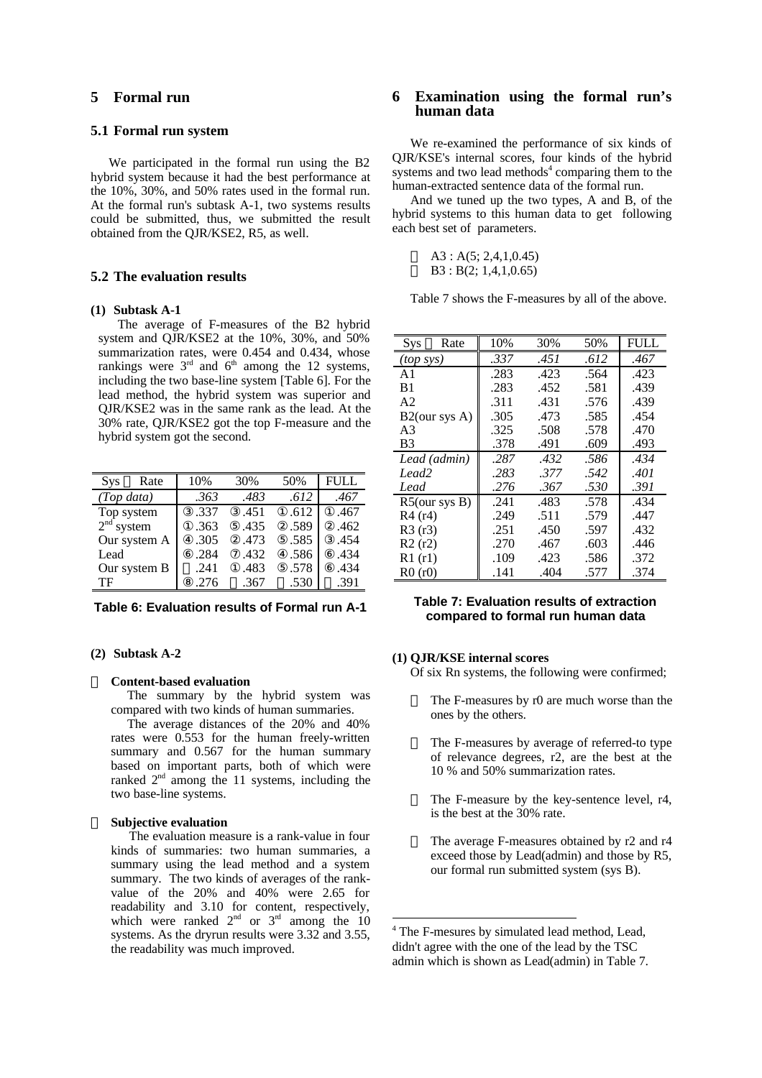# **5 Formal run**

### **5.1 Formal run system**

We participated in the formal run using the B2 hybrid system because it had the best performance at the 10%, 30%, and 50% rates used in the formal run. At the formal run's subtask A-1, two systems results could be submitted, thus, we submitted the result obtained from the QJR/KSE2, R5, as well.

### **5.2 The evaluation results**

#### **(1) Subtask A-1**

 The average of F-measures of the B2 hybrid system and QJR/KSE2 at the 10%, 30%, and 50% summarization rates, were 0.454 and 0.434, whose rankings were  $3<sup>rd</sup>$  and  $6<sup>th</sup>$  among the 12 systems, including the two base-line system [Table 6]. For the lead method, the hybrid system was superior and QJR/KSE2 was in the same rank as the lead. At the 30% rate, QJR/KSE2 got the top F-measure and the hybrid system got the second.

| Rate         | 10%  | 30%  | 50%  | FULL |
|--------------|------|------|------|------|
| (Top data)   | .363 | .483 | .612 | .467 |
| Top system   | .337 | .451 | .612 | .467 |
| $2nd$ system | .363 | .435 | .589 | .462 |
| Our system A | .305 | .473 | .585 | .454 |
| Lead         | .284 | .432 | .586 | .434 |
| Our system B | .241 | .483 | .578 | .434 |
| TF           | .276 | .367 | .530 | .391 |

**Table 6: Evaluation results of Formal run A-1**

### **(2) Subtask A-2**

#### **Content-based evaluation**

 The summary by the hybrid system was compared with two kinds of human summaries.

 The average distances of the 20% and 40% rates were 0.553 for the human freely-written summary and 0.567 for the human summary based on important parts, both of which were ranked  $2<sup>nd</sup>$  among the 11 systems, including the two base-line systems.

#### **Subjective evaluation**

 The evaluation measure is a rank-value in four kinds of summaries: two human summaries, a summary using the lead method and a system summary. The two kinds of averages of the rankvalue of the 20% and 40% were 2.65 for readability and 3.10 for content, respectively, which were ranked  $2<sup>nd</sup>$  or  $3<sup>rd</sup>$  among the 10 systems. As the dryrun results were 3.32 and 3.55, the readability was much improved.

# **6 Examination using the formal run's human data**

We re-examined the performance of six kinds of QJR/KSE's internal scores, four kinds of the hybrid systems and two lead methods<sup>4</sup> comparing them to the human-extracted sentence data of the formal run.

And we tuned up the two types, A and B, of the hybrid systems to this human data to get following each best set of parameters.

|  | A3: A(5; 2,4,1,0.45)  |
|--|-----------------------|
|  | B3 : B(2; 1,4,1,0.65) |

Table 7 shows the F-measures by all of the above.

| Rate<br>Sys      | 10%  | 30%  | 50%  | <b>FULL</b> |
|------------------|------|------|------|-------------|
| $(top$ sys)      | .337 | .451 | .612 | .467        |
| A <sub>1</sub>   | .283 | .423 | .564 | .423        |
| B <sub>1</sub>   | .283 | .452 | .581 | .439        |
| A <sub>2</sub>   | .311 | .431 | .576 | .439        |
| $B2$ (our sys A) | .305 | .473 | .585 | .454        |
| A <sub>3</sub>   | .325 | .508 | .578 | .470        |
| B <sub>3</sub>   | .378 | .491 | .609 | .493        |
| Lead (admin)     | .287 | .432 | .586 | .434        |
| Lead2            | .283 | .377 | .542 | .401        |
| Lead             | .276 | .367 | .530 | .391        |
| $R5$ (our sys B) | .241 | .483 | .578 | .434        |
| R4(r4)           | .249 | .511 | .579 | .447        |
| R3(r3)           | .251 | .450 | .597 | .432        |
| R2(r2)           | .270 | .467 | .603 | .446        |
| R1(r1)           | .109 | .423 | .586 | .372        |
| R0(r0)           | .141 | .404 | .577 | .374        |

### **Table 7: Evaluation results of extraction compared to formal run human data**

#### **(1) QJR/KSE internal scores**

 $\ddot{\phantom{a}}$ 

Of six Rn systems, the following were confirmed;

The F-measures by r0 are much worse than the ones by the others.

The F-measures by average of referred-to type of relevance degrees, r2, are the best at the 10 % and 50% summarization rates.

The F-measure by the key-sentence level, r4, is the best at the 30% rate.

The average F-measures obtained by r2 and r4 exceed those by Lead(admin) and those by R5, our formal run submitted system (sys B).

<sup>4</sup> The F-mesures by simulated lead method, Lead, didn't agree with the one of the lead by the TSC admin which is shown as Lead(admin) in Table 7.